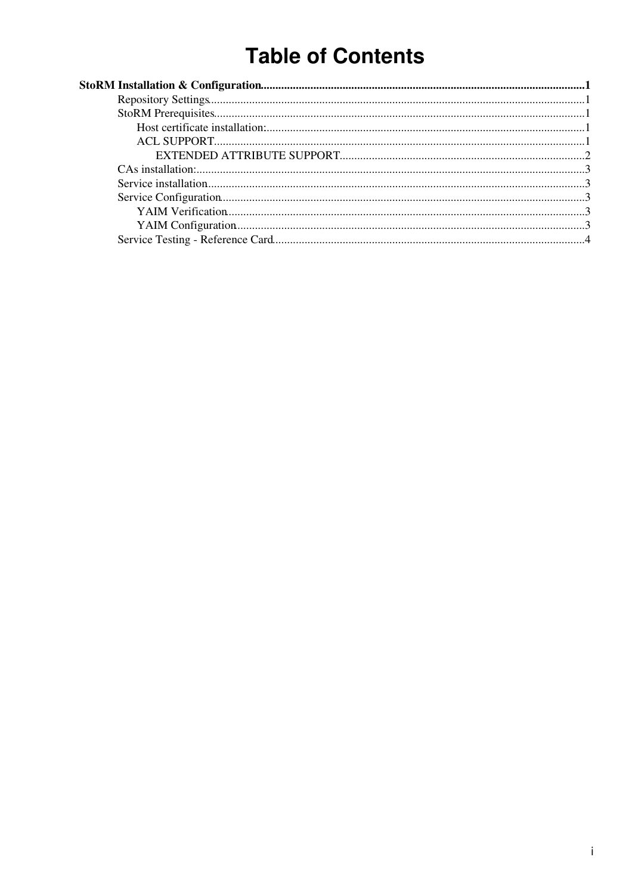# **Table of Contents**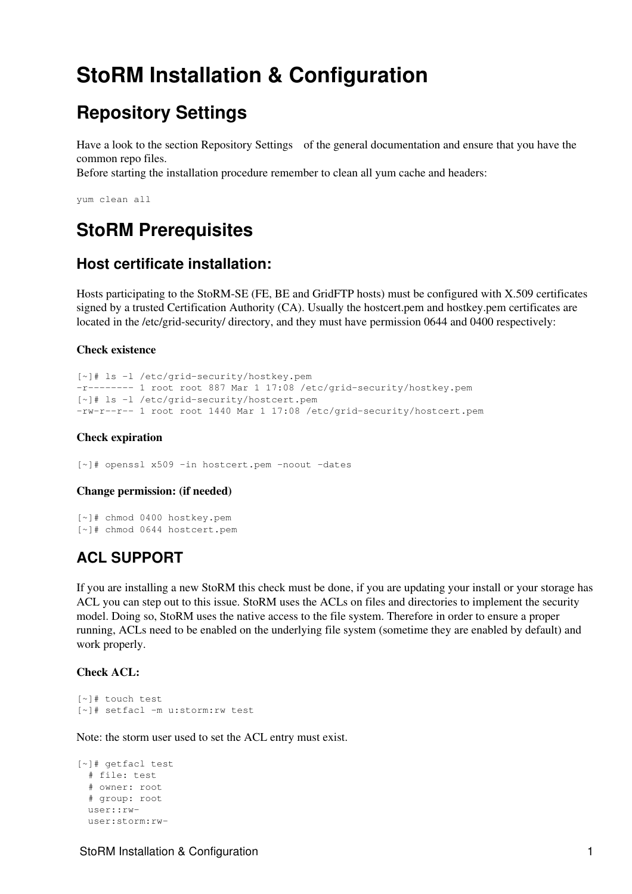# <span id="page-1-0"></span>**[StoRM](https://wiki-igi.cnaf.infn.it/twiki/bin/edit/IGIRelease/StoRM?topicparent=IGIRelease.StoRMInstall;nowysiwyg=0) Installation & Configuration**

## <span id="page-1-1"></span>**Repository Settings**

Have a look to the section [Repository Settings](http://wiki.italiangrid.it/twiki/bin/view/IGIRelease/IgiEmi#Repository_Settings) of the general documentation and ensure that you have the common repo files.

Before starting the installation procedure remember to clean all yum cache and headers:

yum clean all

### <span id="page-1-2"></span>**StoRM Prerequisites**

### <span id="page-1-3"></span>**Host certificate installation:**

Hosts participating to the StoRM-SE (FE, BE and GridFTP hosts) must be configured with X.509 certificates signed by a trusted Certification Authority (CA). Usually the hostcert.pem and hostkey.pem certificates are located in the /etc/grid-security/ directory, and they must have permission 0644 and 0400 respectively:

#### **Check existence**

```
[~]# ls -l /etc/grid-security/hostkey.pem
-r-------- 1 root root 887 Mar 1 17:08 /etc/grid-security/hostkey.pem
[~]# ls -l /etc/grid-security/hostcert.pem
-rw-r--r-- 1 root root 1440 Mar 1 17:08 /etc/grid-security/hostcert.pem
```
#### **Check expiration**

[~]# openssl x509 -in hostcert.pem -noout -dates

#### **Change permission: (if needed)**

[~]# chmod 0400 hostkey.pem [~]# chmod 0644 hostcert.pem

### <span id="page-1-4"></span>**ACL SUPPORT**

If you are installing a new StoRM this check must be done, if you are updating your install or your storage has ACL you can step out to this issue. StoRM uses the ACLs on files and directories to implement the security model. Doing so, StoRM uses the native access to the file system. Therefore in order to ensure a proper running, ACLs need to be enabled on the underlying file system (sometime they are enabled by default) and work properly.

#### **Check ACL:**

```
[~]# touch test
[~]# setfacl -m u:storm:rw test
```
Note: the storm user used to set the ACL entry must exist.

```
[~]# getfacl test
  # file: test
   # owner: root
   # group: root
  user::rw-
  user:storm:rw-
```
StoRM Installation & Configuration 1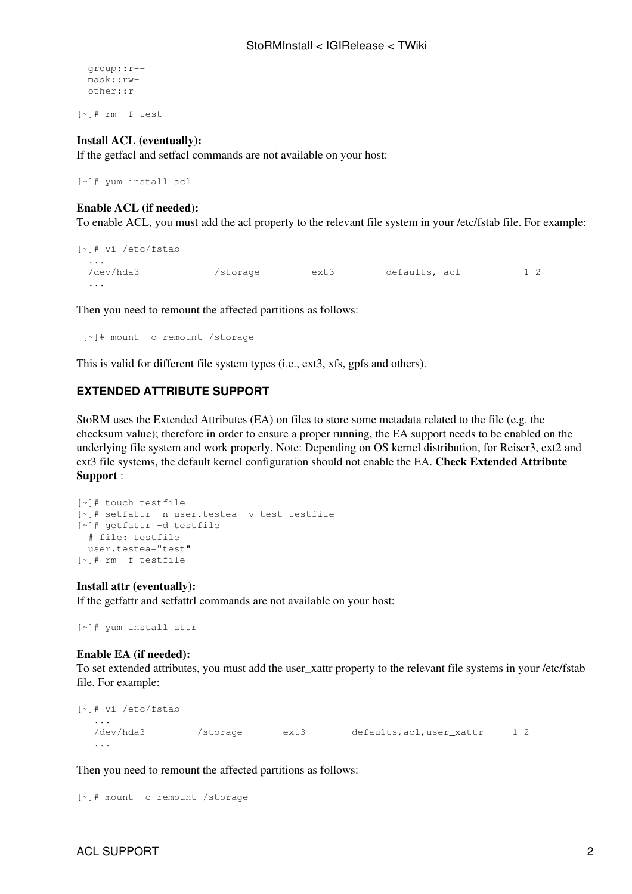```
 group::r--
 mask::rw-
 other::r--
```
[~]# rm -f test

#### **Install ACL (eventually):**

If the getfacl and setfacl commands are not available on your host:

```
[~]# yum install acl
```
#### **Enable ACL (if needed):**

To enable ACL, you must add the acl property to the relevant file system in your /etc/fstab file. For example:

```
[~]# vi /etc/fstab
 ...
  /dev/hda3 /storage ext3 defaults, acl 1 2
  ...
```
Then you need to remount the affected partitions as follows:

[~]# mount -o remount /storage

This is valid for different file system types (i.e., ext3, xfs, gpfs and others).

#### <span id="page-2-0"></span>**EXTENDED ATTRIBUTE SUPPORT**

StoRM uses the Extended Attributes (EA) on files to store some metadata related to the file (e.g. the checksum value); therefore in order to ensure a proper running, the EA support needs to be enabled on the underlying file system and work properly. Note: Depending on OS kernel distribution, for Reiser3, ext2 and ext3 file systems, the default kernel configuration should not enable the EA. **Check Extended Attribute Support** :

```
[~]# touch testfile
[~]# setfattr -n user.testea -v test testfile
[~]# getfattr -d testfile
  # file: testfile
  user.testea="test"
[~]# rm -f testfile
```
#### **Install attr (eventually):**

If the getfattr and setfattrl commands are not available on your host:

```
[~]# yum install attr
```
#### **Enable EA (if needed):**

To set extended attributes, you must add the user xattr property to the relevant file systems in your /etc/fstab file. For example:

```
[~]# vi /etc/fstab
   ...
   /dev/hda3 /storage ext3 defaults,acl,user_xattr 1 2
   ...
```
Then you need to remount the affected partitions as follows:

```
[~]# mount -o remount /storage
```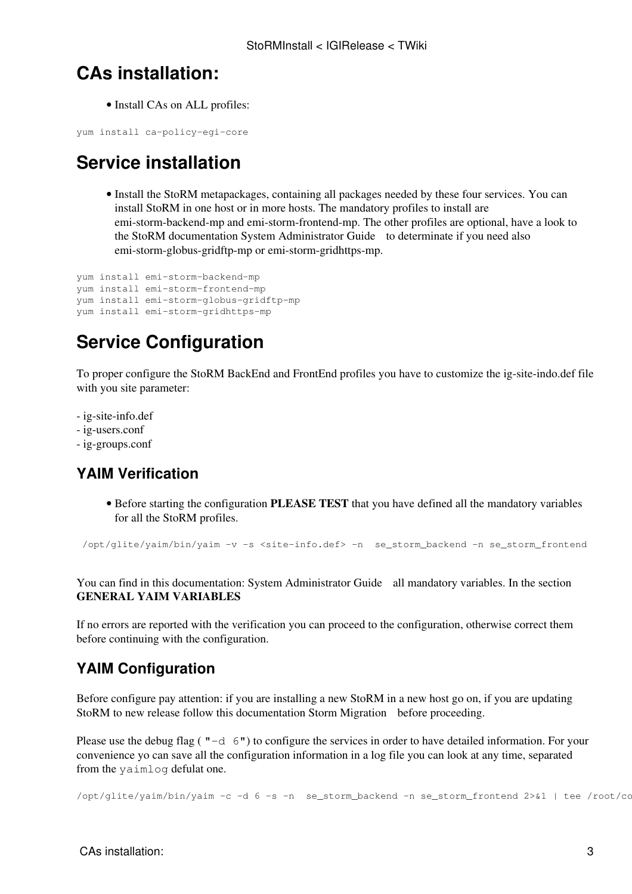### <span id="page-3-0"></span>**CAs installation:**

• Install CAs on ALL profiles:

yum install ca-policy-egi-core

## <span id="page-3-1"></span>**Service installation**

• Install the StoRM metapackages, containing all packages needed by these four services. You can install StoRM in one host or in more hosts. The mandatory profiles to install are emi-storm-backend-mp and emi-storm-frontend-mp. The other profiles are optional, have a look to the StoRM documentation [System Administrator Guide](http://storm.forge.cnaf.infn.it/_media/documentation/storm-sysadminguide.pdf?id=documentation) to determinate if you need also emi-storm-globus-gridftp-mp or emi-storm-gridhttps-mp.

```
yum install emi-storm-backend-mp
yum install emi-storm-frontend-mp
yum install emi-storm-globus-gridftp-mp
yum install emi-storm-gridhttps-mp
```
## <span id="page-3-2"></span>**Service Configuration**

To proper configure the StoRM BackEnd and FrontEnd profiles you have to customize the ig-site-indo.def file with you site parameter:

- - [ig-site-info.def](https://forge.cnaf.infn.it/plugins/scmsvn/viewcvs.php/branches/BRANCH-4_0_X/ig-yaim/examples/siteinfo/ig-site-info.def?rev=5964&root=igrelease&view=markup)
- - [ig-users.conf](https://forge.cnaf.infn.it/plugins/scmsvn/viewcvs.php/branches/BRANCH-4_0_X/ig-yaim/examples/ig-users.conf?rev=6066&root=igrelease&view=markup)
- - [ig-groups.conf](https://forge.cnaf.infn.it/plugins/scmsvn/viewcvs.php/branches/BRANCH-4_0_X/ig-yaim/examples/ig-groups.conf?rev=6075&root=igrelease&view=markup)

### <span id="page-3-3"></span>**YAIM Verification**

• Before starting the configuration PLEASE TEST that you have defined all the mandatory variables for all the [StoRM](https://wiki-igi.cnaf.infn.it/twiki/bin/edit/IGIRelease/StoRM?topicparent=IGIRelease.StoRMInstall;nowysiwyg=0) profiles.

```
 /opt/glite/yaim/bin/yaim -v -s <site-info.def> -n se_storm_backend -n se_storm_frontend
```
You can find in this documentation: [System Administrator Guide](http://storm.forge.cnaf.infn.it/_media/documentation/storm-sysadminguide.pdf?id=documentation) all mandatory variables. In the section **GENERAL YAIM VARIABLES**

If no errors are reported with the verification you can proceed to the configuration, otherwise correct them before continuing with the configuration.

### <span id="page-3-4"></span>**YAIM Configuration**

Before configure pay attention: if you are installing a new StoRM in a new host go on, if you are updating StoRM to new release follow this documentation [Storm Migration](http://storm.forge.cnaf.infn.it/_media/documentation/storm-1.7-update.pdf?id=documentation%3Ahome&cache=cache) before proceeding.

Please use the debug flag ( $"-\mathrm{d}$  6") to configure the services in order to have detailed information. For your convenience yo can save all the configuration information in a log file you can look at any time, separated from the yaimlog defulat one.

/opt/glite/yaim/bin/yaim -c -d 6 -s -n se\_storm\_backend -n se\_storm\_frontend 2>&1 | tee /root/co